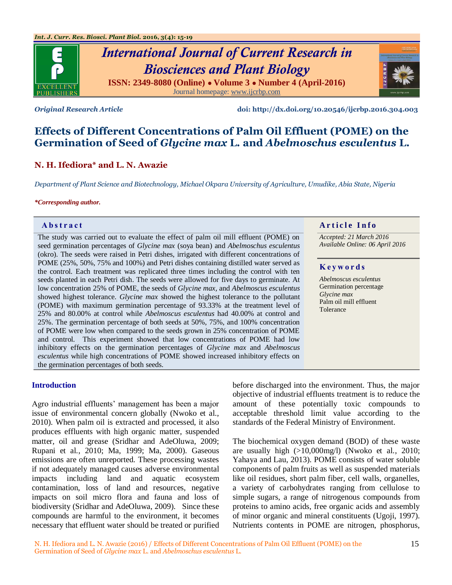

# *International Journal of Current Research in Biosciences and Plant Biology* **ISSN: 2349-8080 (Online) ● Volume 3 ● Number 4 (April-2016)** Journal homepage[: www.ijcrbp.com](http://www.ijcrbp.com/)



*Original Research Article* **doi: http://dx.doi.org/10.20546/ijcrbp.2016.304.003**

# **Effects of Different Concentrations of Palm Oil Effluent (POME) on the Germination of Seed of** *Glycine max* **L***.* **and** *Abelmoschus esculentus* **L.**

# **N. H. Ifediora\* and L. N. Awazie**

*Department of Plant Science and Biotechnology, Michael Okpara University of Agriculture, Umudike, Abia State, Nigeria*

#### *\*Corresponding author.*

The study was carried out to evaluate the effect of palm oil mill effluent (POME) on seed germination percentages of *Glycine max* (soya bean) and *Abelmoschus esculentus*  (okro). The seeds were raised in Petri dishes, irrigated with different concentrations of POME (25%, 50%, 75% and 100%) and Petri dishes containing distilled water served as the control. Each treatment was replicated three times including the control with ten seeds planted in each Petri dish. The seeds were allowed for five days to germinate. At low concentration 25% of POME, the seeds of *Glycine max,* and *Abelmoscus esculentus*  showed highest tolerance. *Glycine max* showed the highest tolerance to the pollutant (POME) with maximum germination percentage of 93.33% at the treatment level of 25% and 80.00% at control while *Abelmoscus esculentus* had 40.00% at control and 25%. The germination percentage of both seeds at 50%, 75%, and 100% concentration of POME were low when compared to the seeds grown in 25% concentration of POME and control. This experiment showed that low concentrations of POME had low inhibitory effects on the germination percentages of *Glycine max* and *Abelmoscus esculentus* while high concentrations of POME showed increased inhibitory effects on the germination percentages of both seeds.

# **Abstract And a region of the Info**  $\alpha$  **Article Info**

*Accepted: 21 March 2016 Available Online: 06 April 2016*

# **K e y w o r d s**

*Abelmoscus esculentus* Germination percentage *Glycine max* Palm oil mill effluent Tolerance

#### **Introduction**

Agro industrial effluents' management has been a major issue of environmental concern globally (Nwoko et al., 2010). When palm oil is extracted and processed, it also produces effluents with high organic matter, suspended matter, oil and grease (Sridhar and AdeOluwa, 2009; Rupani et al*.*, 2010; Ma, 1999; Ma, 2000). Gaseous emissions are often unreported. These processing wastes if not adequately managed causes adverse environmental impacts including land and aquatic ecosystem contamination, loss of land and resources, negative impacts on soil micro flora and fauna and loss of biodiversity (Sridhar and AdeOluwa, 2009). Since these compounds are harmful to the environment, it becomes necessary that effluent water should be treated or purified

before discharged into the environment. Thus, the major objective of industrial effluents treatment is to reduce the amount of these potentially toxic compounds to acceptable threshold limit value according to the standards of the Federal Ministry of Environment.

The biochemical oxygen demand (BOD) of these waste are usually high (>10,000mg/l) (Nwoko et al*.*, 2010; Yahaya and Lau, 2013). POME consists of water soluble components of palm fruits as well as suspended materials like oil residues, short palm fiber, cell walls, organelles, a variety of carbohydrates ranging from cellulose to simple sugars, a range of nitrogenous compounds from proteins to amino acids, free organic acids and assembly of minor organic and mineral constituents (Ugoji, 1997). Nutrients contents in POME are nitrogen, phosphorus,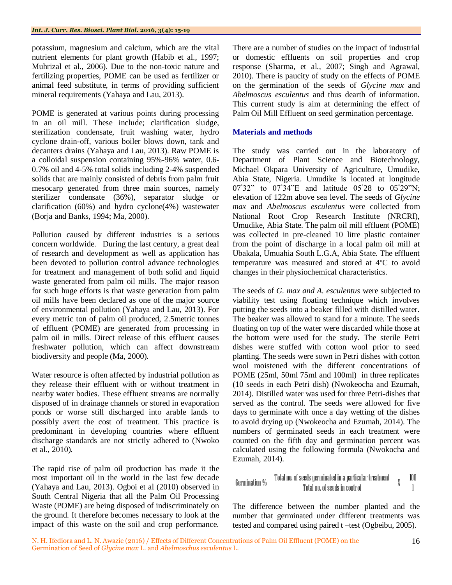potassium, magnesium and calcium, which are the vital nutrient elements for plant growth (Habib et al., 1997; Muhrizal et al., 2006). Due to the non-toxic nature and fertilizing properties, POME can be used as fertilizer or animal feed substitute, in terms of providing sufficient mineral requirements (Yahaya and Lau, 2013).

POME is generated at various points during processing in an oil mill. These include; clarification sludge, sterilization condensate, fruit washing water, hydro cyclone drain-off, various boiler blows down, tank and decanters drains (Yahaya and Lau, 2013). Raw POME is a colloidal suspension containing 95%-96% water, 0.6- 0.7% oil and 4-5% total solids including 2-4% suspended solids that are mainly consisted of debris from palm fruit mesocarp generated from three main sources, namely sterilizer condensate (36%), separator sludge or clarification (60%) and hydro cyclone(4%) wastewater (Borja and Banks, 1994; Ma, 2000).

Pollution caused by different industries is a serious concern worldwide. During the last century, a great deal of research and development as well as application has been devoted to pollution control advance technologies for treatment and management of both solid and liquid waste generated from palm oil mills. The major reason for such huge efforts is that waste generation from palm oil mills have been declared as one of the major source of environmental pollution (Yahaya and Lau, 2013). For every metric ton of palm oil produced, 2.5metric tonnes of effluent (POME) are generated from processing in palm oil in mills. Direct release of this effluent causes freshwater pollution, which can affect downstream biodiversity and people (Ma, 2000).

Water resource is often affected by industrial pollution as they release their effluent with or without treatment in nearby water bodies. These effluent streams are normally disposed of in drainage channels or stored in evaporation ponds or worse still discharged into arable lands to possibly avert the cost of treatment. This practice is predominant in developing countries where effluent discharge standards are not strictly adhered to (Nwoko et al*.,* 2010).

The rapid rise of palm oil production has made it the most important oil in the world in the last few decade (Yahaya and Lau, 2013). Ogboi et al (2010) observed in South Central Nigeria that all the Palm Oil Processing Waste (POME) are being disposed of indiscriminately on the ground. It therefore becomes necessary to look at the impact of this waste on the soil and crop performance.

There are a number of studies on the impact of industrial or domestic effluents on soil properties and crop response (Sharma*,* et al*.,* 2007; Singh and Agrawal, 2010). There is paucity of study on the effects of POME on the germination of the seeds of *Glycine max* and *Abelmoscus esculentus* and thus dearth of information. This current study is aim at determining the effect of Palm Oil Mill Effluent on seed germination percentage.

# **Materials and methods**

The study was carried out in the laboratory of Department of Plant Science and Biotechnology, Michael Okpara University of Agriculture, Umudike, Abia State, Nigeria. Umudike is located at longitude 07°32" to 07°34"E and latitude 05°28 to 05°29"N; elevation of 122m above sea level. The seeds of *Glycine max* and *Abelmoscus esculentus* were collected from National Root Crop Research Institute (NRCRI), Umudike, Abia State. The palm oil mill effluent (POME) was collected in pre-cleaned 10 litre plastic container from the point of discharge in a local palm oil mill at Ubakala, Umuahia South L.G.A, Abia State. The effluent temperature was measured and stored at 4ºC to avoid changes in their physiochemical characteristics.

The seeds of *G. max and A. esculentus* were subjected to viability test using floating technique which involves putting the seeds into a beaker filled with distilled water. The beaker was allowed to stand for a minute. The seeds floating on top of the water were discarded while those at the bottom were used for the study. The sterile Petri dishes were stuffed with cotton wool prior to seed planting. The seeds were sown in Petri dishes with cotton wool moistened with the different concentrations of POME (25ml, 50ml 75ml and 100ml) in three replicates (10 seeds in each Petri dish) (Nwokeocha and Ezumah, 2014). Distilled water was used for three Petri-dishes that served as the control. The seeds were allowed for five days to germinate with once a day wetting of the dishes to avoid drying up (Nwokeocha and Ezumah, 2014). The numbers of germinated seeds in each treatment were counted on the fifth day and germination percent was calculated using the following formula (Nwokocha and Ezumah, 2014).

**Germanation %** 
$$
\frac{\text{Total no. of seeds germinated in a particular treatment}}{\text{Total no. of seeds in control}} \chi \frac{100}{1000}
$$

The difference between the number planted and the number that germinated under different treatments was tested and compared using paired t –test (Ogbeibu, 2005).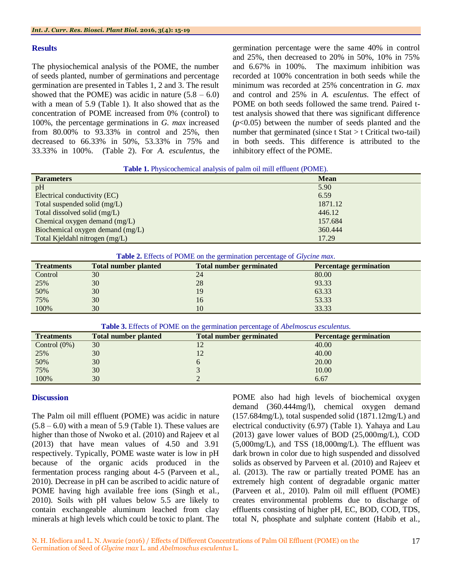#### **Results**

The physiochemical analysis of the POME, the number of seeds planted, number of germinations and percentage germination are presented in Tables 1, 2 and 3. The result showed that the POME) was acidic in nature  $(5.8 - 6.0)$ with a mean of 5.9 (Table 1). It also showed that as the concentration of POME increased from 0% (control) to 100%, the percentage germinations in *G. max* increased from 80.00% to 93.33% in control and 25%, then decreased to 66.33% in 50%, 53.33% in 75% and 33.33% in 100%. (Table 2). For *A. esculentus,* the germination percentage were the same 40% in control and 25%, then decreased to 20% in 50%, 10% in 75% and 6.67% in 100%. The maximum inhibition was recorded at 100% concentration in both seeds while the minimum was recorded at 25% concentration in *G. max* and control and 25% in *A. esculentus.* The effect of POME on both seeds followed the same trend. Paired ttest analysis showed that there was significant difference (*p*<0.05) between the number of seeds planted and the number that germinated (since  $t$  Stat  $> t$  Critical two-tail) in both seeds. This difference is attributed to the inhibitory effect of the POME.

**Table 1.** Physicochemical analysis of palm oil mill effluent (POME).

| <b>Parameters</b>                | <b>Mean</b> |
|----------------------------------|-------------|
| pH                               | 5.90        |
| Electrical conductivity (EC)     | 6.59        |
| Total suspended solid (mg/L)     | 1871.12     |
| Total dissolved solid (mg/L)     | 446.12      |
| Chemical oxygen demand $(mg/L)$  | 157.684     |
| Biochemical oxygen demand (mg/L) | 360.444     |
| Total Kjeldahl nitrogen (mg/L)   | 17.29       |

| Table 2. Effects of POME on the germination percentage of Glycine max. |  |
|------------------------------------------------------------------------|--|
|                                                                        |  |

| <b>Treatments</b> | <b>Total number planted</b> | <b>Total number germinated</b> | <b>Percentage germination</b> |
|-------------------|-----------------------------|--------------------------------|-------------------------------|
| Control           | 30                          | 24                             | 80.00                         |
| 25%               | 30                          | 28                             | 93.33                         |
| 50%               | 30                          | 19                             | 63.33                         |
| 75%               | 30                          | 16                             | 53.33                         |
| 100%              | 30                          | 10                             | 33.33                         |

|  |  |  | Table 3. Effects of POME on the germination percentage of Abelmoscus esculentus. |  |
|--|--|--|----------------------------------------------------------------------------------|--|
|  |  |  |                                                                                  |  |

| <b>Treatments</b> | <b>Total number planted</b> | <b>Total number germinated</b> | <b>Percentage germination</b> |
|-------------------|-----------------------------|--------------------------------|-------------------------------|
| Control $(0\%)$   | 30                          | 12                             | 40.00                         |
| 25%               | 30                          | 12                             | 40.00                         |
| 50%               | 30                          |                                | 20.00                         |
| 75%               | 30                          |                                | 10.00                         |
| 100%              | 30                          |                                | 6.67                          |

# **Discussion**

The Palm oil mill effluent (POME) was acidic in nature  $(5.8 - 6.0)$  with a mean of 5.9 (Table 1). These values are higher than those of Nwoko et al. (2010) and Rajeev et al (2013) that have mean values of 4.50 and 3.91 respectively. Typically, POME waste water is low in pH because of the organic acids produced in the fermentation process ranging about 4-5 (Parveen et al., 2010). Decrease in pH can be ascribed to acidic nature of POME having high available free ions (Singh et al*.,* 2010). Soils with pH values below 5.5 are likely to contain exchangeable aluminum leached from clay minerals at high levels which could be toxic to plant. The

POME also had high levels of biochemical oxygen demand (360.444mg/l), chemical oxygen demand (157.684mg/L), total suspended solid (1871.12mg/L) and electrical conductivity (6.97) (Table 1). Yahaya and Lau (2013) gave lower values of BOD (25,000mg/L), COD (5,000mg/L), and TSS (18,000mg/L). The effluent was dark brown in color due to high suspended and dissolved solids as observed by Parveen et al. (2010) and Rajeev et al. (2013). The raw or partially treated POME has an extremely high content of degradable organic matter (Parveen et al*.,* 2010). Palm oil mill effluent (POME) creates environmental problems due to discharge of effluents consisting of higher pH, EC, BOD, COD, TDS, total N, phosphate and sulphate content (Habib et al*.,*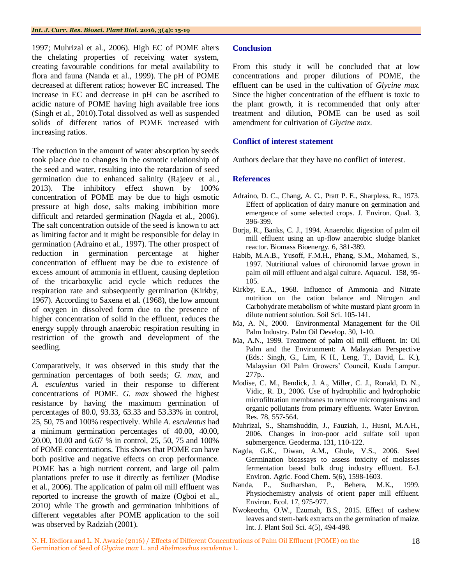1997; Muhrizal et al*.,* 2006). High EC of POME alters the chelating properties of receiving water system, creating favourable conditions for metal availability to flora and fauna (Nanda et al.*,* 1999). The pH of POME decreased at different ratios; however EC increased. The increase in EC and decrease in pH can be ascribed to acidic nature of POME having high available free ions (Singh et al., 2010).Total dissolved as well as suspended solids of different ratios of POME increased with increasing ratios.

The reduction in the amount of water absorption by seeds took place due to changes in the osmotic relationship of the seed and water, resulting into the retardation of seed germination due to enhanced salinity (Rajeev et al*.,* 2013). The inhibitory effect shown by 100% concentration of POME may be due to high osmotic pressure at high dose, salts making imbibition more difficult and retarded germination (Nagda et al*.*, 2006). The salt concentration outside of the seed is known to act as limiting factor and it might be responsible for delay in germination (Adraino et al., 1997). The other prospect of reduction in germination percentage at higher concentration of effluent may be due to existence of excess amount of ammonia in effluent, causing depletion of the tricarboxylic acid cycle which reduces the respiration rate and subsequently germination (Kirkby, 1967). According to Saxena et al*.* (1968), the low amount of oxygen in dissolved form due to the presence of higher concentration of solid in the effluent, reduces the energy supply through anaerobic respiration resulting in restriction of the growth and development of the seedling.

Comparatively, it was observed in this study that the germination percentages of both seeds; *G. max*, and *A. esculentus* varied in their response to different concentrations of POME. *G. max* showed the highest resistance by having the maximum germination of percentages of 80.0, 93.33, 63.33 and 53.33% in control, 25, 50, 75 and 100% respectively. While *A. esculentus* had a minimum germination percentages of 40.00, 40.00, 20.00, 10.00 and 6.67 % in control, 25, 50, 75 and 100% of POME concentrations. This shows that POME can have both positive and negative effects on crop performance. POME has a high nutrient content, and large oil palm plantations prefer to use it directly as fertilizer (Modise et al*.,* 2006). The application of palm oil mill effluent was reported to increase the growth of maize (Ogboi et al., 2010) while The growth and germination inhibitions of different vegetables after POME application to the soil was observed by Radziah (2001).

## **Conclusion**

From this study it will be concluded that at low concentrations and proper dilutions of POME, the effluent can be used in the cultivation of *Glycine max.* Since the higher concentration of the effluent is toxic to the plant growth, it is recommended that only after treatment and dilution, POME can be used as soil amendment for cultivation of *Glycine max.*

## **Conflict of interest statement**

Authors declare that they have no conflict of interest.

### **References**

- Adraino, D. C., Chang, A. C., Pratt P. E., Sharpless, R., 1973. Effect of application of dairy manure on germination and emergence of some selected crops. J. Environ. Qual. 3, 396-399.
- Borja, R., Banks, C. J., 1994. Anaerobic digestion of palm oil mill effluent using an up-flow anaerobic sludge blanket reactor. Biomass Bioenergy. 6, 381-389.
- Habib, M.A.B., Yusoff, F.M.H., Phang, S.M., Mohamed, S., 1997. Nutritional values of chironomid larvae grown in palm oil mill effluent and algal culture. Aquacul. 158, 95- 105.
- Kirkby, E.A., 1968. Influence of Ammonia and Nitrate nutrition on the cation balance and Nitrogen and Carbohydrate metabolism of white mustard plant groom in dilute nutrient solution*.* Soil Sci. 105-141.
- Ma, A. N., 2000. Environmental Management for the Oil Palm Industry. Palm Oil Develop. 30, 1-10.
- Ma, A.N., 1999. Treatment of palm oil mill effluent. In: Oil Palm and the Environment: A Malaysian Perspective (Eds.: Singh, G., Lim, K H., Leng, T., David, L. K.), Malaysian Oil Palm Growers' Council, Kuala Lampur. 277p..
- Modise, C. M., Bendick, J. A., Miller, C. J., Ronald, D. N., Vidic, R. D., 2006. Use of hydrophilic and hydrophobic microfiltration membranes to remove microorganisms and organic pollutants from primary effluents. Water Environ. Res. 78, 557-564.
- Muhrizal, S., Shamshuddin, J., Fauziah, I., Husni, M.A.H., 2006. Changes in iron-poor acid sulfate soil upon submergence. Geoderma. 131, 110-122.
- Nagda, G.K., Diwan, A.M., Ghole, V.S., 2006. Seed Germination bioassays to assess toxicity of molasses fermentation based bulk drug industry effluent. E-J. Environ. Agric. Food Chem. 5(6), 1598-1603.
- Nanda, P., Sudharshan, P., Behera, M.K., 1999. Physiochemistry analysis of orient paper mill effluent. Environ. Ecol. 17, 975-977.
- Nwokeocha, O.W., Ezumah, B.S., 2015. Effect of cashew leaves and stem-bark extracts on the germination of maize*.*  Int. J. Plant Soil Sci. 4(5), 494-498.